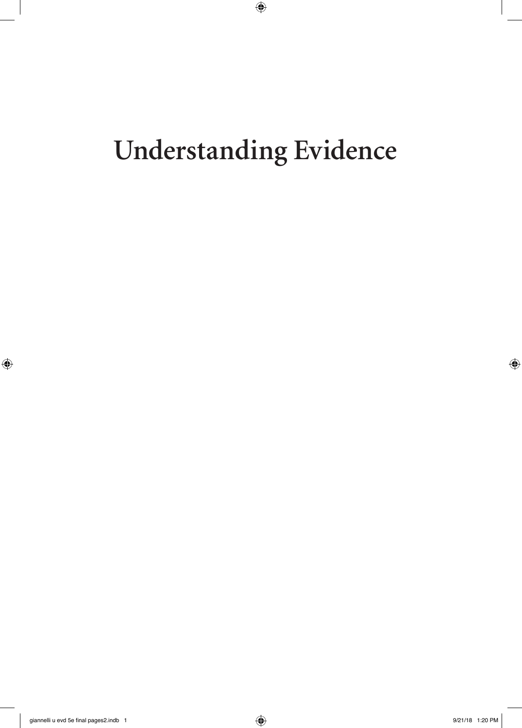# **Understanding Evidence**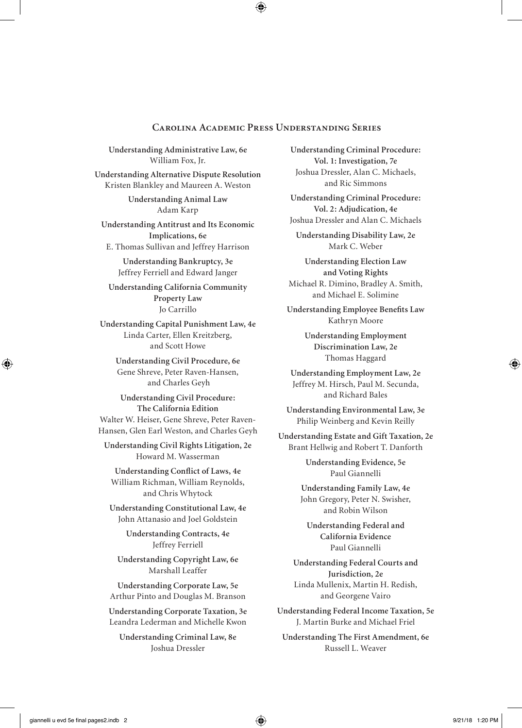#### **Carolina Academic Press Understanding Series**

**Understanding Administrative Law, 6e** William Fox, Jr.

**Understanding Alternative Dispute Resolution** Kristen Blankley and Maureen A. Weston

> **Understanding Animal Law** Adam Karp

**Understanding Antitrust and Its Economic Implications, 6e** E. Thomas Sullivan and Jeffrey Harrison

> **Understanding Bankruptcy, 3e** Jeffrey Ferriell and Edward Janger

**Understanding California Community Property Law**  Jo Carrillo

**Understanding Capital Punishment Law, 4e**  Linda Carter, Ellen Kreitzberg, and Scott Howe

**Understanding Civil Procedure, 6e**  Gene Shreve, Peter Raven-Hansen, and Charles Geyh

**Understanding Civil Procedure: The California Edition**  Walter W. Heiser, Gene Shreve, Peter Raven-Hansen, Glen Earl Weston, and Charles Geyh

**Understanding Civil Rights Litigation, 2e**  Howard M. Wasserman

**Understanding Conflict of Laws, 4e** William Richman, William Reynolds, and Chris Whytock

**Understanding Constitutional Law, 4e** John Attanasio and Joel Goldstein

> **Understanding Contracts, 4e**  Jeffrey Ferriell

**Understanding Copyright Law, 6e**  Marshall Leaffer

**Understanding Corporate Law, 5e**  Arthur Pinto and Douglas M. Branson

**Understanding Corporate Taxation, 3e**  Leandra Lederman and Michelle Kwon

**Understanding Criminal Law, 8e**  Joshua Dressler

**Understanding Criminal Procedure: Vol. 1: Investigation, 7e**  Joshua Dressler, Alan C. Michaels, and Ric Simmons

**Understanding Criminal Procedure: Vol. 2: Adjudication, 4e**  Joshua Dressler and Alan C. Michaels

**Understanding Disability Law, 2e** Mark C. Weber

**Understanding Election Law and Voting Rights** Michael R. Dimino, Bradley A. Smith, and Michael E. Solimine

**Understanding Employee Benefits Law**  Kathryn Moore

> **Understanding Employment Discrimination Law, 2e**  Thomas Haggard

**Understanding Employment Law, 2e**  Jeffrey M. Hirsch, Paul M. Secunda, and Richard Bales

**Understanding Environmental Law, 3e**  Philip Weinberg and Kevin Reilly

**Understanding Estate and Gift Taxation, 2e**  Brant Hellwig and Robert T. Danforth

> **Understanding Evidence, 5e**  Paul Giannelli

**Understanding Family Law, 4e**  John Gregory, Peter N. Swisher, and Robin Wilson

**Understanding Federal and California Evidence**  Paul Giannelli

**Understanding Federal Courts and Jurisdiction, 2e**  Linda Mullenix, Martin H. Redish, and Georgene Vairo

**Understanding Federal Income Taxation, 5e**  J. Martin Burke and Michael Friel

**Understanding The First Amendment, 6e**  Russell L. Weaver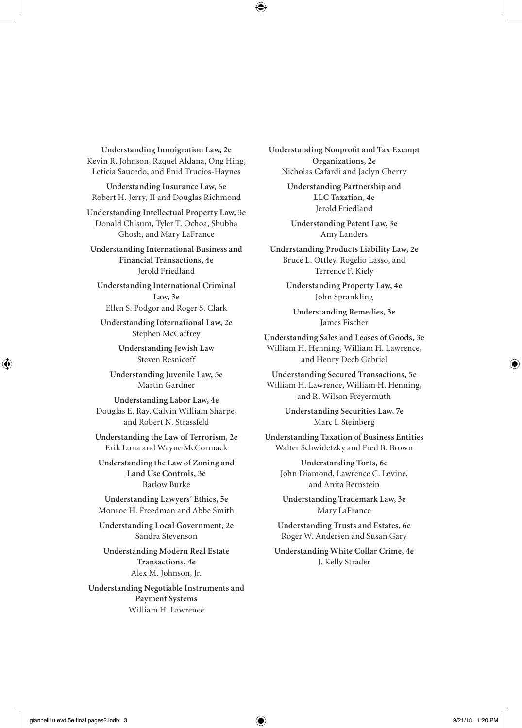**Understanding Immigration Law, 2e**  Kevin R. Johnson, Raquel Aldana, Ong Hing, Leticia Saucedo, and Enid Trucios-Haynes

**Understanding Insurance Law, 6e**  Robert H. Jerry, II and Douglas Richmond

**Understanding Intellectual Property Law, 3e**  Donald Chisum, Tyler T. Ochoa, Shubha Ghosh, and Mary LaFrance

**Understanding International Business and Financial Transactions, 4e**  Jerold Friedland

**Understanding International Criminal Law, 3e**  Ellen S. Podgor and Roger S. Clark

**Understanding International Law, 2e**  Stephen McCaffrey

> **Understanding Jewish Law**  Steven Resnicoff

**Understanding Juvenile Law, 5e**  Martin Gardner

**Understanding Labor Law, 4e**  Douglas E. Ray, Calvin William Sharpe, and Robert N. Strassfeld

**Understanding the Law of Terrorism, 2e**  Erik Luna and Wayne McCormack

**Understanding the Law of Zoning and Land Use Controls, 3e**  Barlow Burke

**Understanding Lawyers' Ethics, 5e**  Monroe H. Freedman and Abbe Smith

**Understanding Local Government, 2e**  Sandra Stevenson

**Understanding Modern Real Estate Transactions, 4e**  Alex M. Johnson, Jr.

**Understanding Negotiable Instruments and Payment Systems**  William H. Lawrence

**Understanding Nonprofit and Tax Exempt Organizations, 2e**  Nicholas Cafardi and Jaclyn Cherry

> **Understanding Partnership and LLC Taxation, 4e**  Jerold Friedland

**Understanding Patent Law, 3e**  Amy Landers

**Understanding Products Liability Law, 2e**  Bruce L. Ottley, Rogelio Lasso, and Terrence F. Kiely

> **Understanding Property Law, 4e**  John Sprankling

**Understanding Remedies, 3e**  James Fischer

**Understanding Sales and Leases of Goods, 3e**  William H. Henning, William H. Lawrence, and Henry Deeb Gabriel

**Understanding Secured Transactions, 5e**  William H. Lawrence, William H. Henning, and R. Wilson Freyermuth

> **Understanding Securities Law, 7e**  Marc I. Steinberg

**Understanding Taxation of Business Entities**  Walter Schwidetzky and Fred B. Brown

**Understanding Torts, 6e**  John Diamond, Lawrence C. Levine, and Anita Bernstein

**Understanding Trademark Law, 3e**  Mary LaFrance

**Understanding Trusts and Estates, 6e**  Roger W. Andersen and Susan Gary

**Understanding White Collar Crime, 4e**  J. Kelly Strader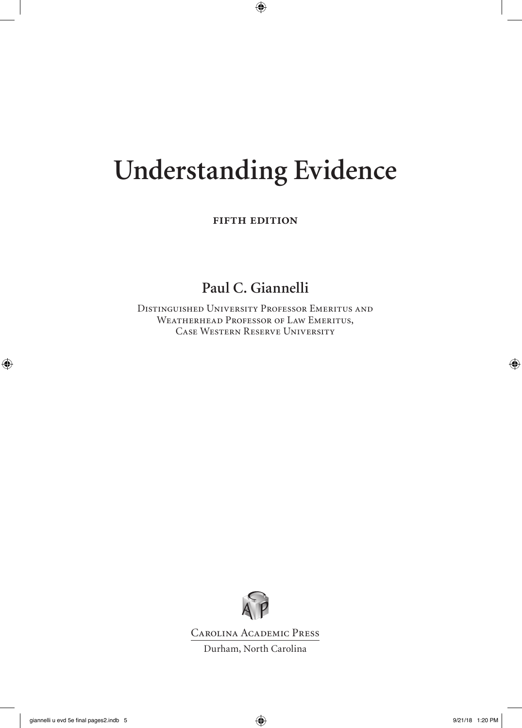## **Understanding Evidence**

**FIFTH EDITION** 

### **Paul C. Giannelli**

Distinguished University Professor Emeritus and WEATHERHEAD PROFESSOR OF LAW EMERITUS, Case Western Reserve University



Carolina Academic Press

Durham, North Carolina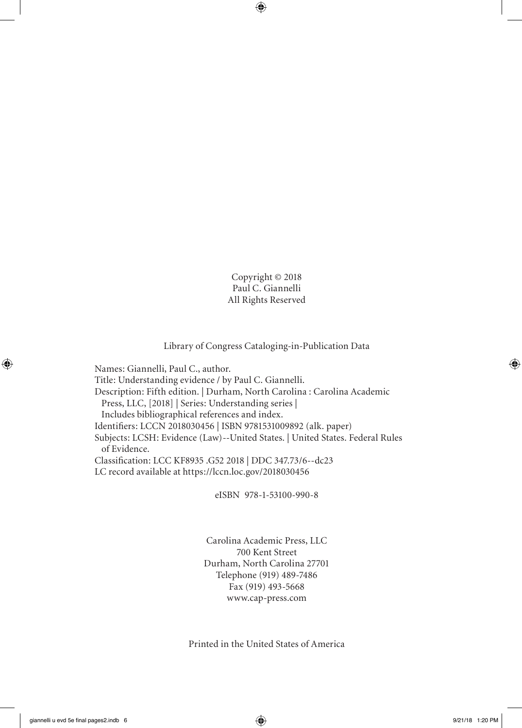Copyright © 2018 Paul C. Giannelli All Rights Reserved

#### Library of Congress Cataloging-in-Publication Data

Names: Giannelli, Paul C., author. Title: Understanding evidence / by Paul C. Giannelli. Description: Fifth edition. | Durham, North Carolina : Carolina Academic Press, LLC, [2018] | Series: Understanding series | Includes bibliographical references and index. Identifiers: LCCN 2018030456 | ISBN 9781531009892 (alk. paper) Subjects: LCSH: Evidence (Law)--United States. | United States. Federal Rules of Evidence. Classification: LCC KF8935 .G52 2018 | DDC 347.73/6--dc23 LC record available at https://lccn.loc.gov/2018030456

eISBN 978-1-53100-990-8

Carolina Academic Press, LLC 700 Kent Street Durham, North Carolina 27701 Telephone (919) 489-7486 Fax (919) 493-5668 www.cap-press.com

Printed in the United States of America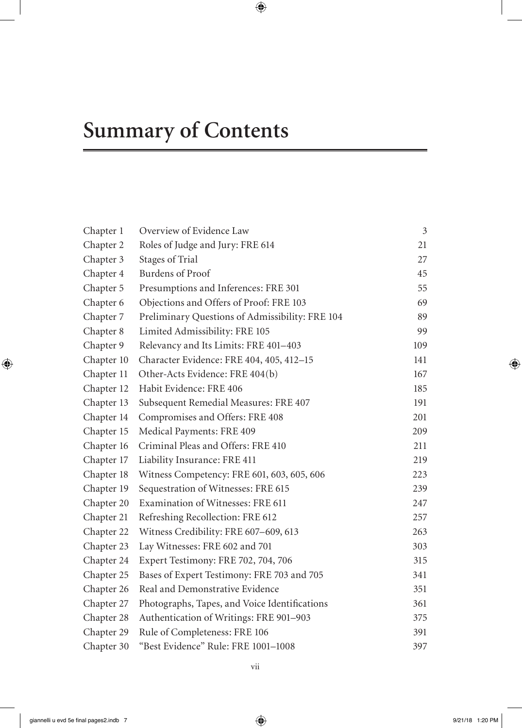## **Summary of Contents**

| Chapter 1  | Overview of Evidence Law                        | $\mathfrak{Z}$ |
|------------|-------------------------------------------------|----------------|
| Chapter 2  | Roles of Judge and Jury: FRE 614                | 21             |
| Chapter 3  | Stages of Trial                                 | 27             |
| Chapter 4  | <b>Burdens of Proof</b>                         | 45             |
| Chapter 5  | Presumptions and Inferences: FRE 301            | 55             |
| Chapter 6  | Objections and Offers of Proof: FRE 103         | 69             |
| Chapter 7  | Preliminary Questions of Admissibility: FRE 104 | 89             |
| Chapter 8  | Limited Admissibility: FRE 105                  | 99             |
| Chapter 9  | Relevancy and Its Limits: FRE 401-403           | 109            |
| Chapter 10 | Character Evidence: FRE 404, 405, 412-15        | 141            |
| Chapter 11 | Other-Acts Evidence: FRE 404(b)                 | 167            |
| Chapter 12 | Habit Evidence: FRE 406                         | 185            |
| Chapter 13 | Subsequent Remedial Measures: FRE 407           | 191            |
| Chapter 14 | Compromises and Offers: FRE 408                 | 201            |
| Chapter 15 | Medical Payments: FRE 409                       | 209            |
| Chapter 16 | Criminal Pleas and Offers: FRE 410              | 211            |
| Chapter 17 | Liability Insurance: FRE 411                    | 219            |
| Chapter 18 | Witness Competency: FRE 601, 603, 605, 606      | 223            |
| Chapter 19 | Sequestration of Witnesses: FRE 615             | 239            |
| Chapter 20 | Examination of Witnesses: FRE 611               | 247            |
| Chapter 21 | Refreshing Recollection: FRE 612                | 257            |
| Chapter 22 | Witness Credibility: FRE 607-609, 613           | 263            |
| Chapter 23 | Lay Witnesses: FRE 602 and 701                  | 303            |
| Chapter 24 | Expert Testimony: FRE 702, 704, 706             | 315            |
| Chapter 25 | Bases of Expert Testimony: FRE 703 and 705      | 341            |
| Chapter 26 | Real and Demonstrative Evidence                 | 351            |
| Chapter 27 | Photographs, Tapes, and Voice Identifications   | 361            |
| Chapter 28 | Authentication of Writings: FRE 901-903         | 375            |
| Chapter 29 | Rule of Completeness: FRE 106                   | 391            |
| Chapter 30 | "Best Evidence" Rule: FRE 1001-1008             | 397            |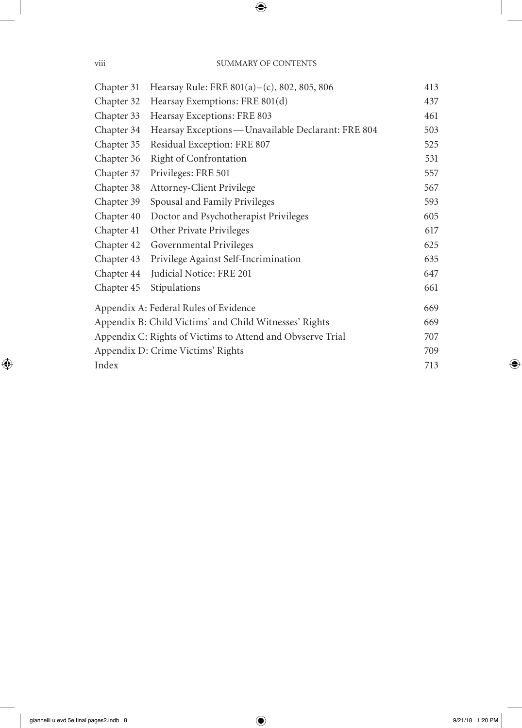| Chapter 31 | Hearsay Rule: FRE 801(a) – (c), 802, 805, 806              | 413 |
|------------|------------------------------------------------------------|-----|
| Chapter 32 | Hearsay Exemptions: FRE 801(d)                             | 437 |
| Chapter 33 | Hearsay Exceptions: FRE 803                                | 461 |
| Chapter 34 | Hearsay Exceptions - Unavailable Declarant: FRE 804        | 503 |
| Chapter 35 | Residual Exception: FRE 807                                | 525 |
| Chapter 36 | <b>Right of Confrontation</b>                              | 531 |
| Chapter 37 | Privileges: FRE 501                                        | 557 |
| Chapter 38 | Attorney-Client Privilege                                  | 567 |
| Chapter 39 | Spousal and Family Privileges                              | 593 |
| Chapter 40 | Doctor and Psychotherapist Privileges                      | 605 |
| Chapter 41 | Other Private Privileges                                   | 617 |
| Chapter 42 | Governmental Privileges                                    | 625 |
| Chapter 43 | Privilege Against Self-Incrimination                       | 635 |
| Chapter 44 | Judicial Notice: FRE 201                                   | 647 |
| Chapter 45 | Stipulations                                               | 661 |
|            | Appendix A: Federal Rules of Evidence                      | 669 |
|            | Appendix B: Child Victims' and Child Witnesses' Rights     | 669 |
|            | Appendix C: Rights of Victims to Attend and Obvserve Trial | 707 |
|            | Appendix D: Crime Victims' Rights                          | 709 |
| Index      |                                                            | 713 |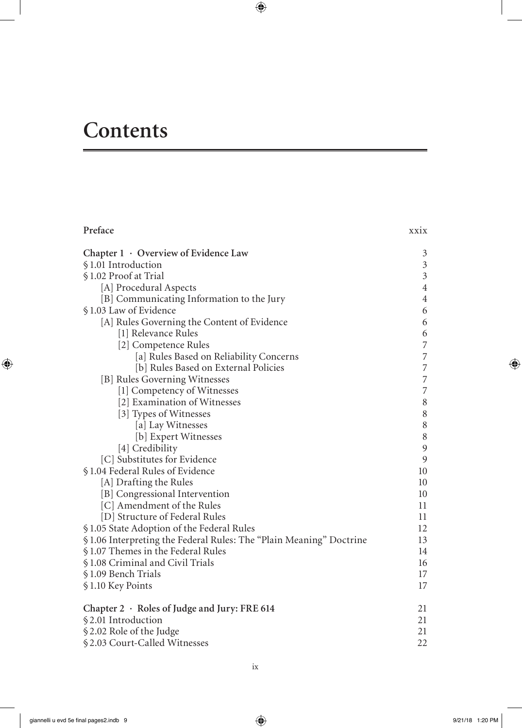### **Contents**

| Preface                                                            | <b>XX1X</b>              |
|--------------------------------------------------------------------|--------------------------|
| Chapter 1 · Overview of Evidence Law                               | 3                        |
| §1.01 Introduction                                                 | $\mathfrak{Z}$           |
| §1.02 Proof at Trial                                               | $\mathfrak{Z}$           |
| [A] Procedural Aspects                                             | $\overline{4}$           |
| [B] Communicating Information to the Jury                          | $\overline{4}$           |
| §1.03 Law of Evidence                                              | 6                        |
| [A] Rules Governing the Content of Evidence                        | 6                        |
| [1] Relevance Rules                                                | 6                        |
| [2] Competence Rules                                               | $\overline{\phantom{a}}$ |
| [a] Rules Based on Reliability Concerns                            | $\overline{\phantom{a}}$ |
| [b] Rules Based on External Policies                               | $\overline{7}$           |
| [B] Rules Governing Witnesses                                      | $\overline{7}$           |
| [1] Competency of Witnesses                                        | $\overline{7}$           |
| [2] Examination of Witnesses                                       | $\,8\,$                  |
| [3] Types of Witnesses                                             | $\,8\,$                  |
| [a] Lay Witnesses                                                  | $\,$ $\,$                |
| [b] Expert Witnesses                                               | $\,8\,$                  |
| [4] Credibility                                                    | 9                        |
| [C] Substitutes for Evidence                                       | 9                        |
| §1.04 Federal Rules of Evidence                                    | 10                       |
| [A] Drafting the Rules                                             | 10                       |
| [B] Congressional Intervention                                     | 10                       |
| [C] Amendment of the Rules                                         | 11                       |
| [D] Structure of Federal Rules                                     | 11                       |
| §1.05 State Adoption of the Federal Rules                          | 12                       |
| §1.06 Interpreting the Federal Rules: The "Plain Meaning" Doctrine | 13                       |
| §1.07 Themes in the Federal Rules                                  | 14                       |
| §1.08 Criminal and Civil Trials                                    | 16                       |
| §1.09 Bench Trials                                                 | 17                       |
| §1.10 Key Points                                                   | 17                       |
| Chapter 2 · Roles of Judge and Jury: FRE 614                       | 21                       |
| §2.01 Introduction                                                 | 21                       |
| §2.02 Role of the Judge                                            | 21                       |
| §2.03 Court-Called Witnesses                                       | 22                       |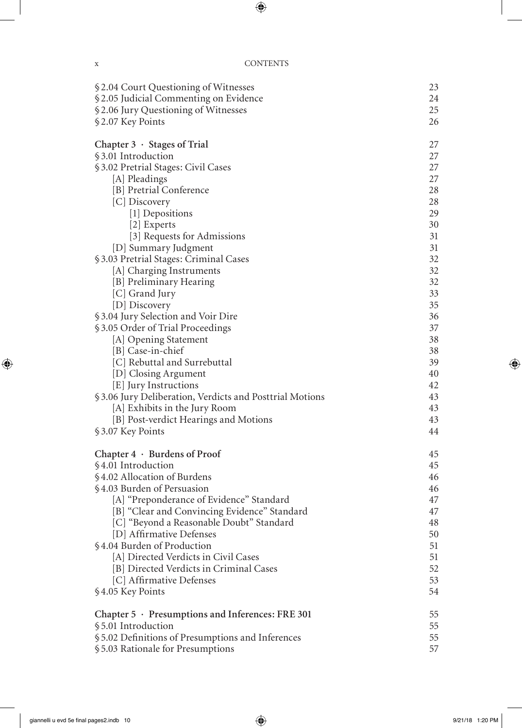| § 2.04 Court Questioning of Witnesses                   | 23 |
|---------------------------------------------------------|----|
| § 2.05 Judicial Commenting on Evidence                  | 24 |
| § 2.06 Jury Questioning of Witnesses                    | 25 |
| §2.07 Key Points                                        | 26 |
|                                                         |    |
| Chapter 3 · Stages of Trial                             | 27 |
| §3.01 Introduction                                      | 27 |
| § 3.02 Pretrial Stages: Civil Cases                     | 27 |
| [A] Pleadings                                           | 27 |
| [B] Pretrial Conference                                 | 28 |
| [C] Discovery                                           | 28 |
| [1] Depositions                                         | 29 |
| [2] Experts                                             | 30 |
| [3] Requests for Admissions                             | 31 |
| [D] Summary Judgment                                    | 31 |
| § 3.03 Pretrial Stages: Criminal Cases                  | 32 |
| [A] Charging Instruments                                | 32 |
| [B] Preliminary Hearing                                 | 32 |
| [C] Grand Jury                                          | 33 |
| [D] Discovery                                           | 35 |
| §3.04 Jury Selection and Voir Dire                      | 36 |
| §3.05 Order of Trial Proceedings                        | 37 |
| [A] Opening Statement                                   | 38 |
| [B] Case-in-chief                                       | 38 |
| [C] Rebuttal and Surrebuttal                            | 39 |
| [D] Closing Argument                                    | 40 |
| [E] Jury Instructions                                   | 42 |
| §3.06 Jury Deliberation, Verdicts and Posttrial Motions | 43 |
| [A] Exhibits in the Jury Room                           | 43 |
| [B] Post-verdict Hearings and Motions                   | 43 |
| §3.07 Key Points                                        | 44 |
| Chapter $4 \cdot$ Burdens of Proof                      | 45 |
| §4.01 Introduction                                      | 45 |
| §4.02 Allocation of Burdens                             | 46 |
| §4.03 Burden of Persuasion                              | 46 |
| [A] "Preponderance of Evidence" Standard                | 47 |
| [B] "Clear and Convincing Evidence" Standard            | 47 |
| [C] "Beyond a Reasonable Doubt" Standard                | 48 |
| [D] Affirmative Defenses                                | 50 |
| §4.04 Burden of Production                              | 51 |
| [A] Directed Verdicts in Civil Cases                    | 51 |
| [B] Directed Verdicts in Criminal Cases                 | 52 |
| [C] Affirmative Defenses                                | 53 |
| §4.05 Key Points                                        | 54 |
|                                                         |    |
| Chapter 5 · Presumptions and Inferences: FRE 301        | 55 |
| §5.01 Introduction                                      | 55 |
| § 5.02 Definitions of Presumptions and Inferences       | 55 |
| § 5.03 Rationale for Presumptions                       | 57 |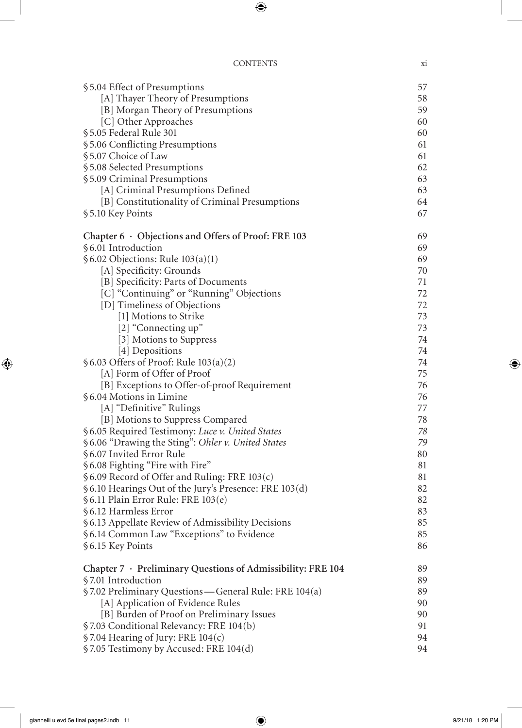| §5.04 Effect of Presumptions                                | 57 |
|-------------------------------------------------------------|----|
| [A] Thayer Theory of Presumptions                           | 58 |
| [B] Morgan Theory of Presumptions                           | 59 |
| [C] Other Approaches                                        | 60 |
| §5.05 Federal Rule 301                                      | 60 |
| § 5.06 Conflicting Presumptions                             | 61 |
| §5.07 Choice of Law                                         | 61 |
| §5.08 Selected Presumptions                                 | 62 |
| § 5.09 Criminal Presumptions                                | 63 |
| [A] Criminal Presumptions Defined                           | 63 |
| [B] Constitutionality of Criminal Presumptions              | 64 |
| §5.10 Key Points                                            | 67 |
| Chapter $6 \cdot$ Objections and Offers of Proof: FRE 103   | 69 |
| §6.01 Introduction                                          | 69 |
| § 6.02 Objections: Rule 103(a)(1)                           | 69 |
| [A] Specificity: Grounds                                    | 70 |
| [B] Specificity: Parts of Documents                         | 71 |
| [C] "Continuing" or "Running" Objections                    | 72 |
| [D] Timeliness of Objections                                | 72 |
| [1] Motions to Strike                                       | 73 |
| [2] "Connecting up"                                         | 73 |
| [3] Motions to Suppress                                     | 74 |
| [4] Depositions                                             | 74 |
| § 6.03 Offers of Proof: Rule 103(a)(2)                      | 74 |
| [A] Form of Offer of Proof                                  | 75 |
| [B] Exceptions to Offer-of-proof Requirement                | 76 |
| §6.04 Motions in Limine                                     | 76 |
| [A] "Definitive" Rulings                                    | 77 |
| [B] Motions to Suppress Compared                            | 78 |
| § 6.05 Required Testimony: Luce v. United States            | 78 |
| § 6.06 "Drawing the Sting": Ohler v. United States          | 79 |
| §6.07 Invited Error Rule                                    | 80 |
| § 6.08 Fighting "Fire with Fire"                            | 81 |
| §6.09 Record of Offer and Ruling: FRE 103(c)                | 81 |
| § 6.10 Hearings Out of the Jury's Presence: FRE 103(d)      | 82 |
| §6.11 Plain Error Rule: FRE 103(e)                          | 82 |
| §6.12 Harmless Error                                        | 83 |
| § 6.13 Appellate Review of Admissibility Decisions          | 85 |
| § 6.14 Common Law "Exceptions" to Evidence                  | 85 |
| § 6.15 Key Points                                           | 86 |
| Chapter 7 · Preliminary Questions of Admissibility: FRE 104 | 89 |
| §7.01 Introduction                                          | 89 |
| §7.02 Preliminary Questions—General Rule: FRE 104(a)        | 89 |
| [A] Application of Evidence Rules                           | 90 |
| [B] Burden of Proof on Preliminary Issues                   | 90 |
| §7.03 Conditional Relevancy: FRE 104(b)                     | 91 |
| §7.04 Hearing of Jury: FRE 104(c)                           | 94 |
| §7.05 Testimony by Accused: FRE 104(d)                      | 94 |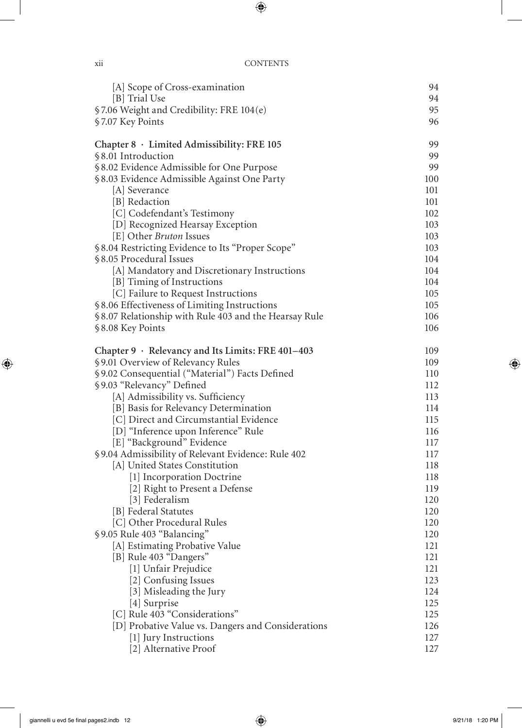| [A] Scope of Cross-examination                                            | 94         |
|---------------------------------------------------------------------------|------------|
| [B] Trial Use                                                             | 94         |
| §7.06 Weight and Credibility: FRE 104(e)                                  | 95         |
| §7.07 Key Points                                                          | 96         |
| Chapter 8 · Limited Admissibility: FRE 105                                | 99         |
| §8.01 Introduction                                                        | 99         |
| §8.02 Evidence Admissible for One Purpose                                 | 99         |
| §8.03 Evidence Admissible Against One Party                               | 100        |
| [A] Severance                                                             | 101        |
| [B] Redaction                                                             | 101        |
| [C] Codefendant's Testimony                                               | 102        |
| [D] Recognized Hearsay Exception                                          | 103        |
| [E] Other <i>Bruton</i> Issues                                            | 103        |
| §8.04 Restricting Evidence to Its "Proper Scope"                          | 103        |
| §8.05 Procedural Issues                                                   | 104        |
| [A] Mandatory and Discretionary Instructions                              | 104        |
| [B] Timing of Instructions                                                | 104        |
| [C] Failure to Request Instructions                                       | 105        |
| §8.06 Effectiveness of Limiting Instructions                              | 105<br>106 |
| §8.07 Relationship with Rule 403 and the Hearsay Rule<br>§8.08 Key Points | 106        |
|                                                                           |            |
| Chapter 9 · Relevancy and Its Limits: FRE 401-403                         | 109        |
| §9.01 Overview of Relevancy Rules                                         | 109        |
| §9.02 Consequential ("Material") Facts Defined                            | 110        |
| §9.03 "Relevancy" Defined                                                 | 112        |
| [A] Admissibility vs. Sufficiency                                         | 113        |
| [B] Basis for Relevancy Determination                                     | 114        |
| [C] Direct and Circumstantial Evidence                                    | 115        |
| [D] "Inference upon Inference" Rule                                       | 116        |
| [E] "Background" Evidence                                                 | 117        |
| §9.04 Admissibility of Relevant Evidence: Rule 402                        | 117        |
| [A] United States Constitution                                            | 118        |
| [1] Incorporation Doctrine                                                | 118        |
| [2] Right to Present a Defense                                            | 119        |
| [3] Federalism                                                            | 120<br>120 |
| [B] Federal Statutes<br>[C] Other Procedural Rules                        |            |
| §9.05 Rule 403 "Balancing"                                                | 120<br>120 |
| [A] Estimating Probative Value                                            | 121        |
| [B] Rule 403 "Dangers"                                                    | 121        |
| [1] Unfair Prejudice                                                      | 121        |
| [2] Confusing Issues                                                      | 123        |
| [3] Misleading the Jury                                                   | 124        |
| [4] Surprise                                                              | 125        |
| [C] Rule 403 "Considerations"                                             | 125        |
| [D] Probative Value vs. Dangers and Considerations                        | 126        |
| [1] Jury Instructions                                                     | 127        |
| [2] Alternative Proof                                                     | 127        |
|                                                                           |            |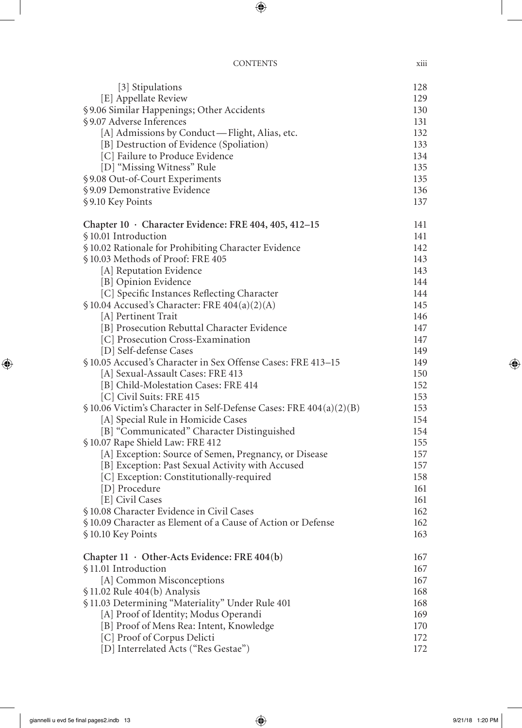| <br>X111 |
|----------|
|          |

| [3] Stipulations                                                               | 128 |
|--------------------------------------------------------------------------------|-----|
| [E] Appellate Review                                                           | 129 |
| § 9.06 Similar Happenings; Other Accidents                                     | 130 |
| §9.07 Adverse Inferences                                                       | 131 |
| [A] Admissions by Conduct—Flight, Alias, etc.                                  | 132 |
| [B] Destruction of Evidence (Spoliation)                                       | 133 |
| [C] Failure to Produce Evidence                                                | 134 |
| [D] "Missing Witness" Rule                                                     | 135 |
| §9.08 Out-of-Court Experiments                                                 | 135 |
| §9.09 Demonstrative Evidence                                                   | 136 |
| §9.10 Key Points                                                               | 137 |
| Chapter $10 \cdot$ Character Evidence: FRE 404, 405, 412-15                    | 141 |
| §10.01 Introduction                                                            | 141 |
| § 10.02 Rationale for Prohibiting Character Evidence                           | 142 |
| §10.03 Methods of Proof: FRE 405                                               | 143 |
| [A] Reputation Evidence                                                        | 143 |
| [B] Opinion Evidence                                                           | 144 |
| [C] Specific Instances Reflecting Character                                    | 144 |
| $$10.04$ Accused's Character: FRE $404(a)(2)(A)$                               | 145 |
| [A] Pertinent Trait                                                            | 146 |
| [B] Prosecution Rebuttal Character Evidence                                    | 147 |
| [C] Prosecution Cross-Examination                                              | 147 |
| [D] Self-defense Cases                                                         | 149 |
| §10.05 Accused's Character in Sex Offense Cases: FRE 413-15                    | 149 |
| [A] Sexual-Assault Cases: FRE 413                                              | 150 |
| [B] Child-Molestation Cases: FRE 414                                           | 152 |
| [C] Civil Suits: FRE 415                                                       | 153 |
| $\frac{1}{2}$ 10.06 Victim's Character in Self-Defense Cases: FRE 404(a)(2)(B) | 153 |
| [A] Special Rule in Homicide Cases                                             | 154 |
| [B] "Communicated" Character Distinguished                                     | 154 |
| §10.07 Rape Shield Law: FRE 412                                                | 155 |
| [A] Exception: Source of Semen, Pregnancy, or Disease                          | 157 |
| [B] Exception: Past Sexual Activity with Accused                               | 157 |
| [C] Exception: Constitutionally-required                                       | 158 |
| [D] Procedure                                                                  | 161 |
| [E] Civil Cases                                                                | 161 |
| § 10.08 Character Evidence in Civil Cases                                      | 162 |
| § 10.09 Character as Element of a Cause of Action or Defense                   | 162 |
| §10.10 Key Points                                                              | 163 |
| Chapter 11 · Other-Acts Evidence: FRE 404(b)                                   | 167 |
| §11.01 Introduction                                                            | 167 |
| [A] Common Misconceptions                                                      | 167 |
| § 11.02 Rule 404(b) Analysis                                                   | 168 |
| §11.03 Determining "Materiality" Under Rule 401                                | 168 |
| [A] Proof of Identity; Modus Operandi                                          | 169 |
| [B] Proof of Mens Rea: Intent, Knowledge                                       | 170 |
| [C] Proof of Corpus Delicti                                                    | 172 |
| [D] Interrelated Acts ("Res Gestae")                                           | 172 |
|                                                                                |     |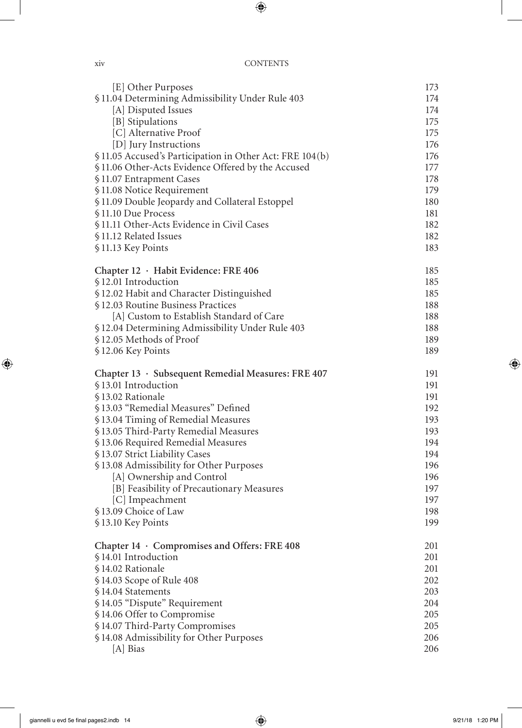| X1V | <b>CONTENTS</b> |
|-----|-----------------|
|-----|-----------------|

| [E] Other Purposes                                      | 173 |
|---------------------------------------------------------|-----|
| §11.04 Determining Admissibility Under Rule 403         | 174 |
| [A] Disputed Issues                                     | 174 |
| [B] Stipulations                                        | 175 |
| [C] Alternative Proof                                   | 175 |
| [D] Jury Instructions                                   | 176 |
| §11.05 Accused's Participation in Other Act: FRE 104(b) | 176 |
| §11.06 Other-Acts Evidence Offered by the Accused       | 177 |
| §11.07 Entrapment Cases                                 | 178 |
| §11.08 Notice Requirement                               | 179 |
| §11.09 Double Jeopardy and Collateral Estoppel          | 180 |
| §11.10 Due Process                                      | 181 |
| §11.11 Other-Acts Evidence in Civil Cases               | 182 |
| §11.12 Related Issues                                   | 182 |
| §11.13 Key Points                                       | 183 |
|                                                         |     |
| Chapter 12 · Habit Evidence: FRE 406                    | 185 |
| §12.01 Introduction                                     | 185 |
| §12.02 Habit and Character Distinguished                | 185 |
| §12.03 Routine Business Practices                       | 188 |
| [A] Custom to Establish Standard of Care                | 188 |
| §12.04 Determining Admissibility Under Rule 403         | 188 |
| §12.05 Methods of Proof                                 | 189 |
| §12.06 Key Points                                       | 189 |
| Chapter 13 · Subsequent Remedial Measures: FRE 407      | 191 |
| §13.01 Introduction                                     | 191 |
| §13.02 Rationale                                        | 191 |
| §13.03 "Remedial Measures" Defined                      | 192 |
| §13.04 Timing of Remedial Measures                      | 193 |
| §13.05 Third-Party Remedial Measures                    | 193 |
| §13.06 Required Remedial Measures                       | 194 |
| § 13.07 Strict Liability Cases                          | 194 |
| §13.08 Admissibility for Other Purposes                 | 196 |
| [A] Ownership and Control                               | 196 |
| [B] Feasibility of Precautionary Measures               | 197 |
| [C] Impeachment                                         | 197 |
| §13.09 Choice of Law                                    | 198 |
| §13.10 Key Points                                       | 199 |
| Chapter 14 · Compromises and Offers: FRE 408            | 201 |
| §14.01 Introduction                                     | 201 |
| §14.02 Rationale                                        | 201 |
| §14.03 Scope of Rule 408                                | 202 |
|                                                         |     |
| §14.04 Statements                                       | 203 |
| §14.05 "Dispute" Requirement                            | 204 |
| §14.06 Offer to Compromise                              | 205 |
| § 14.07 Third-Party Compromises                         | 205 |
| §14.08 Admissibility for Other Purposes                 | 206 |
| [A] Bias                                                | 206 |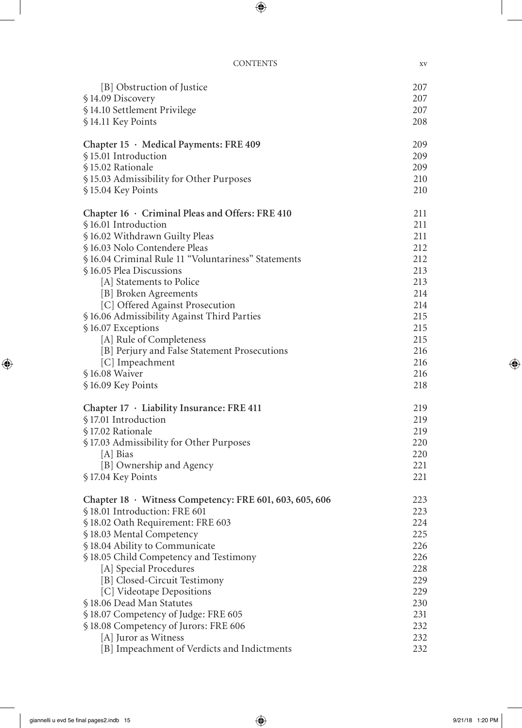| [B] Obstruction of Justice                              | 207 |
|---------------------------------------------------------|-----|
| §14.09 Discovery                                        | 207 |
| §14.10 Settlement Privilege                             | 207 |
| §14.11 Key Points                                       | 208 |
|                                                         | 209 |
| Chapter 15 · Medical Payments: FRE 409                  |     |
| §15.01 Introduction                                     | 209 |
| §15.02 Rationale                                        | 209 |
| §15.03 Admissibility for Other Purposes                 | 210 |
| §15.04 Key Points                                       | 210 |
| Chapter 16 · Criminal Pleas and Offers: FRE 410         | 211 |
| §16.01 Introduction                                     | 211 |
| §16.02 Withdrawn Guilty Pleas                           | 211 |
| §16.03 Nolo Contendere Pleas                            | 212 |
| §16.04 Criminal Rule 11 "Voluntariness" Statements      | 212 |
| §16.05 Plea Discussions                                 | 213 |
| [A] Statements to Police                                | 213 |
| [B] Broken Agreements                                   | 214 |
| [C] Offered Against Prosecution                         | 214 |
| §16.06 Admissibility Against Third Parties              | 215 |
| §16.07 Exceptions                                       | 215 |
| [A] Rule of Completeness                                | 215 |
| [B] Perjury and False Statement Prosecutions            | 216 |
| [C] Impeachment                                         | 216 |
| §16.08 Waiver                                           | 216 |
| §16.09 Key Points                                       | 218 |
| Chapter 17 · Liability Insurance: FRE 411               | 219 |
| §17.01 Introduction                                     | 219 |
| §17.02 Rationale                                        | 219 |
|                                                         |     |
| §17.03 Admissibility for Other Purposes                 | 220 |
| [A] Bias                                                | 220 |
| [B] Ownership and Agency                                | 221 |
| §17.04 Key Points                                       | 221 |
| Chapter 18 · Witness Competency: FRE 601, 603, 605, 606 | 223 |
| §18.01 Introduction: FRE 601                            | 223 |
| §18.02 Oath Requirement: FRE 603                        | 224 |
| §18.03 Mental Competency                                | 225 |
| §18.04 Ability to Communicate                           | 226 |
| §18.05 Child Competency and Testimony                   | 226 |
| [A] Special Procedures                                  | 228 |
| [B] Closed-Circuit Testimony                            | 229 |
| [C] Videotape Depositions                               | 229 |
| §18.06 Dead Man Statutes                                | 230 |
| §18.07 Competency of Judge: FRE 605                     | 231 |
| §18.08 Competency of Jurors: FRE 606                    | 232 |
| [A] Juror as Witness                                    | 232 |
| [B] Impeachment of Verdicts and Indictments             | 232 |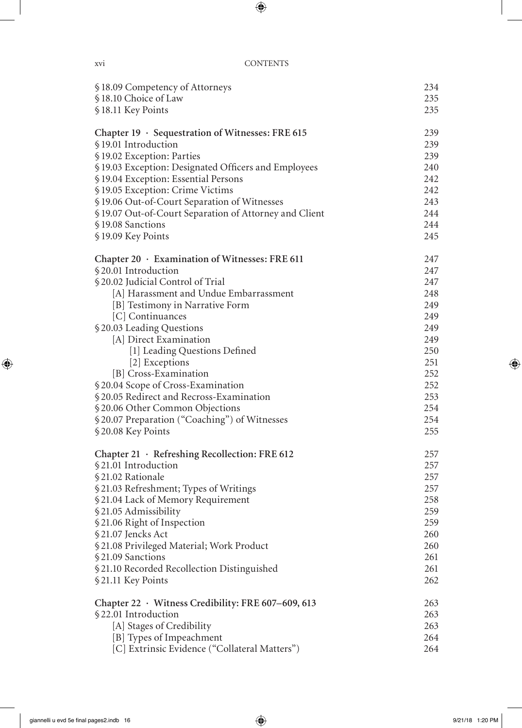| §18.09 Competency of Attorneys                              | 234        |
|-------------------------------------------------------------|------------|
| §18.10 Choice of Law                                        | 235        |
| §18.11 Key Points                                           | 235        |
| Chapter 19 · Sequestration of Witnesses: FRE 615            | 239        |
| §19.01 Introduction                                         | 239        |
| § 19.02 Exception: Parties                                  | 239        |
| §19.03 Exception: Designated Officers and Employees         | 240        |
| §19.04 Exception: Essential Persons                         | 242        |
| §19.05 Exception: Crime Victims                             | 242        |
| § 19.06 Out-of-Court Separation of Witnesses                | 243        |
| § 19.07 Out-of-Court Separation of Attorney and Client      | 244        |
| §19.08 Sanctions                                            | 244        |
| §19.09 Key Points                                           | 245        |
| Chapter 20 · Examination of Witnesses: FRE 611              | 247        |
| §20.01 Introduction                                         | 247        |
| § 20.02 Judicial Control of Trial                           | 247        |
| [A] Harassment and Undue Embarrassment                      | 248        |
| [B] Testimony in Narrative Form                             | 249        |
| [C] Continuances                                            | 249        |
| §20.03 Leading Questions                                    | 249        |
| [A] Direct Examination                                      | 249        |
| [1] Leading Questions Defined                               | 250        |
| [2] Exceptions                                              | 251        |
| [B] Cross-Examination<br>§ 20.04 Scope of Cross-Examination | 252<br>252 |
| § 20.05 Redirect and Recross-Examination                    | 253        |
| § 20.06 Other Common Objections                             | 254        |
| § 20.07 Preparation ("Coaching") of Witnesses               | 254        |
| §20.08 Key Points                                           | 255        |
| Chapter 21 · Refreshing Recollection: FRE 612               | 257        |
| §21.01 Introduction                                         | 257        |
| §21.02 Rationale                                            | 257        |
| §21.03 Refreshment; Types of Writings                       | 257        |
| § 21.04 Lack of Memory Requirement                          | 258        |
| §21.05 Admissibility                                        | 259        |
| §21.06 Right of Inspection                                  | 259        |
| §21.07 Jencks Act                                           | 260        |
| § 21.08 Privileged Material; Work Product                   | 260        |
| §21.09 Sanctions                                            | 261        |
| § 21.10 Recorded Recollection Distinguished                 | 261        |
| §21.11 Key Points                                           | 262        |
| Chapter 22 · Witness Credibility: FRE 607-609, 613          | 263        |
| §22.01 Introduction                                         | 263        |
| [A] Stages of Credibility                                   | 263        |
| [B] Types of Impeachment                                    | 264        |
| [C] Extrinsic Evidence ("Collateral Matters")               | 264        |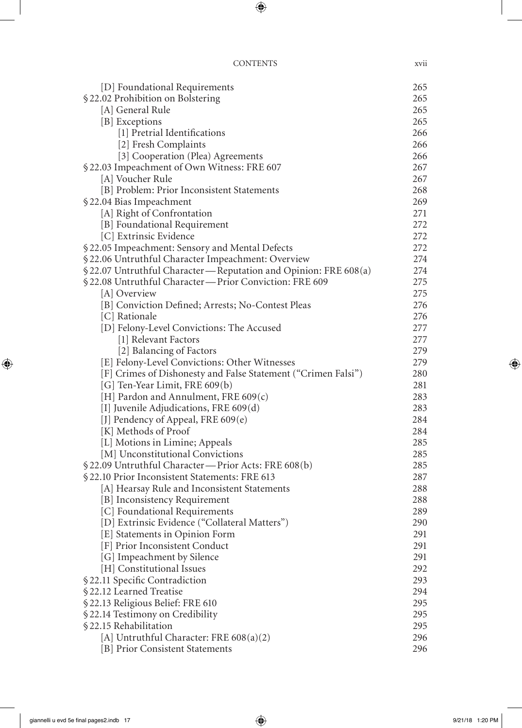| <b>CONTENTS</b> | <b>XV11</b> |
|-----------------|-------------|
|                 |             |

| [D] Foundational Requirements                                   | 265 |
|-----------------------------------------------------------------|-----|
| §22.02 Prohibition on Bolstering                                | 265 |
| [A] General Rule                                                | 265 |
| [B] Exceptions                                                  | 265 |
| [1] Pretrial Identifications                                    | 266 |
| [2] Fresh Complaints                                            | 266 |
| [3] Cooperation (Plea) Agreements                               | 266 |
| §22.03 Impeachment of Own Witness: FRE 607                      | 267 |
| [A] Voucher Rule                                                | 267 |
| [B] Problem: Prior Inconsistent Statements                      | 268 |
| § 22.04 Bias Impeachment                                        | 269 |
| [A] Right of Confrontation                                      | 271 |
| [B] Foundational Requirement                                    | 272 |
| [C] Extrinsic Evidence                                          | 272 |
| §22.05 Impeachment: Sensory and Mental Defects                  | 272 |
| § 22.06 Untruthful Character Impeachment: Overview              | 274 |
| § 22.07 Untruthful Character—Reputation and Opinion: FRE 608(a) | 274 |
| §22.08 Untruthful Character-Prior Conviction: FRE 609           | 275 |
| [A] Overview                                                    | 275 |
|                                                                 | 276 |
| [B] Conviction Defined; Arrests; No-Contest Pleas               | 276 |
| [C] Rationale<br>[D] Felony-Level Convictions: The Accused      | 277 |
|                                                                 | 277 |
| [1] Relevant Factors                                            | 279 |
| [2] Balancing of Factors                                        | 279 |
| [E] Felony-Level Convictions: Other Witnesses                   | 280 |
| [F] Crimes of Dishonesty and False Statement ("Crimen Falsi")   | 281 |
| [G] Ten-Year Limit, FRE 609(b)                                  | 283 |
| [H] Pardon and Annulment, FRE $609(c)$                          | 283 |
| [I] Juvenile Adjudications, FRE 609(d)                          | 284 |
| [J] Pendency of Appeal, FRE 609(e)                              | 284 |
| [K] Methods of Proof                                            |     |
| [L] Motions in Limine; Appeals                                  | 285 |
| [M] Unconstitutional Convictions                                | 285 |
| § 22.09 Untruthful Character—Prior Acts: FRE 608(b)             | 285 |
| §22.10 Prior Inconsistent Statements: FRE 613                   | 287 |
| [A] Hearsay Rule and Inconsistent Statements                    | 288 |
| [B] Inconsistency Requirement                                   | 288 |
| [C] Foundational Requirements                                   | 289 |
| [D] Extrinsic Evidence ("Collateral Matters")                   | 290 |
| [E] Statements in Opinion Form                                  | 291 |
| [F] Prior Inconsistent Conduct                                  | 291 |
| [G] Impeachment by Silence                                      | 291 |
| [H] Constitutional Issues                                       | 292 |
| §22.11 Specific Contradiction                                   | 293 |
| §22.12 Learned Treatise                                         | 294 |
| § 22.13 Religious Belief: FRE 610                               | 295 |
| §22.14 Testimony on Credibility                                 | 295 |
| §22.15 Rehabilitation                                           | 295 |
| [A] Untruthful Character: FRE $608(a)(2)$                       | 296 |
| [B] Prior Consistent Statements                                 | 296 |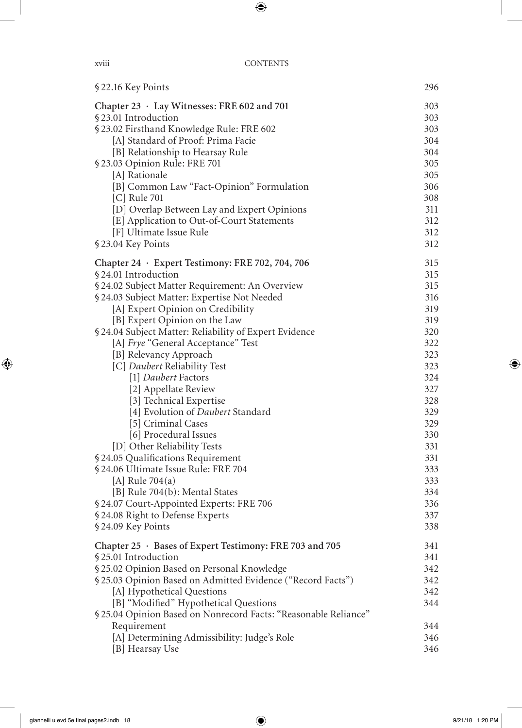| §22.16 Key Points                                                                                                                                                                                                                                                                                                                                                                                                      | 296                                                         |
|------------------------------------------------------------------------------------------------------------------------------------------------------------------------------------------------------------------------------------------------------------------------------------------------------------------------------------------------------------------------------------------------------------------------|-------------------------------------------------------------|
| Chapter 23 · Lay Witnesses: FRE 602 and 701                                                                                                                                                                                                                                                                                                                                                                            | 303                                                         |
| §23.01 Introduction                                                                                                                                                                                                                                                                                                                                                                                                    | 303                                                         |
| §23.02 Firsthand Knowledge Rule: FRE 602                                                                                                                                                                                                                                                                                                                                                                               | 303                                                         |
| [A] Standard of Proof: Prima Facie                                                                                                                                                                                                                                                                                                                                                                                     | 304                                                         |
| [B] Relationship to Hearsay Rule                                                                                                                                                                                                                                                                                                                                                                                       | 304                                                         |
| §23.03 Opinion Rule: FRE 701                                                                                                                                                                                                                                                                                                                                                                                           | 305                                                         |
| [A] Rationale                                                                                                                                                                                                                                                                                                                                                                                                          | 305                                                         |
| [B] Common Law "Fact-Opinion" Formulation                                                                                                                                                                                                                                                                                                                                                                              | 306                                                         |
| [C] Rule 701                                                                                                                                                                                                                                                                                                                                                                                                           | 308                                                         |
| [D] Overlap Between Lay and Expert Opinions                                                                                                                                                                                                                                                                                                                                                                            | 311                                                         |
| [E] Application to Out-of-Court Statements                                                                                                                                                                                                                                                                                                                                                                             | 312                                                         |
| [F] Ultimate Issue Rule                                                                                                                                                                                                                                                                                                                                                                                                | 312                                                         |
| §23.04 Key Points                                                                                                                                                                                                                                                                                                                                                                                                      | 312                                                         |
| Chapter 24 · Expert Testimony: FRE 702, 704, 706                                                                                                                                                                                                                                                                                                                                                                       | 315                                                         |
| §24.01 Introduction                                                                                                                                                                                                                                                                                                                                                                                                    | 315                                                         |
| § 24.02 Subject Matter Requirement: An Overview                                                                                                                                                                                                                                                                                                                                                                        | 315                                                         |
| §24.03 Subject Matter: Expertise Not Needed                                                                                                                                                                                                                                                                                                                                                                            | 316                                                         |
| [A] Expert Opinion on Credibility                                                                                                                                                                                                                                                                                                                                                                                      | 319                                                         |
| [B] Expert Opinion on the Law                                                                                                                                                                                                                                                                                                                                                                                          | 319                                                         |
| §24.04 Subject Matter: Reliability of Expert Evidence                                                                                                                                                                                                                                                                                                                                                                  | 320                                                         |
| [A] Frye "General Acceptance" Test                                                                                                                                                                                                                                                                                                                                                                                     | 322                                                         |
| [B] Relevancy Approach                                                                                                                                                                                                                                                                                                                                                                                                 | 323                                                         |
| [C] Daubert Reliability Test                                                                                                                                                                                                                                                                                                                                                                                           | 323                                                         |
| [1] Daubert Factors                                                                                                                                                                                                                                                                                                                                                                                                    | 324                                                         |
| [2] Appellate Review                                                                                                                                                                                                                                                                                                                                                                                                   | 327                                                         |
| [3] Technical Expertise                                                                                                                                                                                                                                                                                                                                                                                                | 328                                                         |
| [4] Evolution of <i>Daubert</i> Standard                                                                                                                                                                                                                                                                                                                                                                               | 329                                                         |
| [5] Criminal Cases                                                                                                                                                                                                                                                                                                                                                                                                     | 329                                                         |
| [6] Procedural Issues                                                                                                                                                                                                                                                                                                                                                                                                  | 330                                                         |
| [D] Other Reliability Tests                                                                                                                                                                                                                                                                                                                                                                                            | 331                                                         |
| § 24.05 Qualifications Requirement                                                                                                                                                                                                                                                                                                                                                                                     | 331                                                         |
| §24.06 Ultimate Issue Rule: FRE 704                                                                                                                                                                                                                                                                                                                                                                                    | 333                                                         |
| [A] Rule $704(a)$                                                                                                                                                                                                                                                                                                                                                                                                      | 333                                                         |
| [B] Rule 704(b): Mental States                                                                                                                                                                                                                                                                                                                                                                                         | 334                                                         |
| §24.07 Court-Appointed Experts: FRE 706                                                                                                                                                                                                                                                                                                                                                                                | 336                                                         |
| § 24.08 Right to Defense Experts                                                                                                                                                                                                                                                                                                                                                                                       | 337                                                         |
| §24.09 Key Points                                                                                                                                                                                                                                                                                                                                                                                                      | 338                                                         |
| Chapter 25 · Bases of Expert Testimony: FRE 703 and 705<br>§25.01 Introduction<br>§ 25.02 Opinion Based on Personal Knowledge<br>§25.03 Opinion Based on Admitted Evidence ("Record Facts")<br>[A] Hypothetical Questions<br>[B] "Modified" Hypothetical Questions<br>§ 25.04 Opinion Based on Nonrecord Facts: "Reasonable Reliance"<br>Requirement<br>[A] Determining Admissibility: Judge's Role<br>[B] Hearsay Use | 341<br>341<br>342<br>342<br>342<br>344<br>344<br>346<br>346 |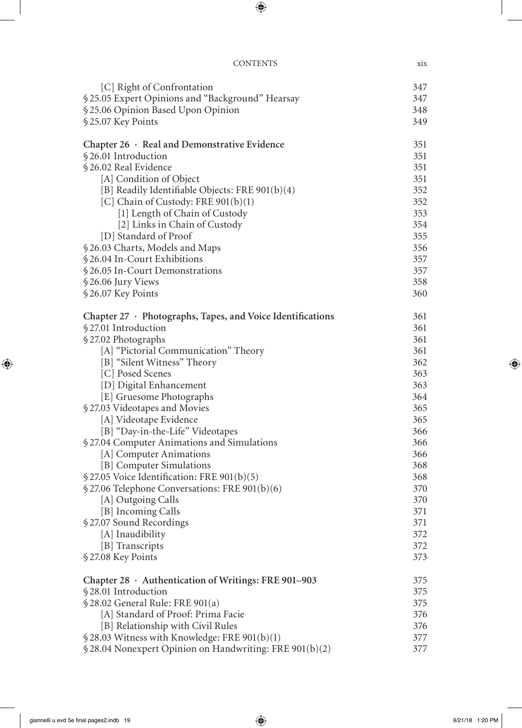| <b>CONTENTS</b> | XIX |
|-----------------|-----|
|                 |     |

| [C] Right of Confrontation                                       | 347 |
|------------------------------------------------------------------|-----|
| §25.05 Expert Opinions and "Background" Hearsay                  | 347 |
| § 25.06 Opinion Based Upon Opinion                               | 348 |
| §25.07 Key Points                                                | 349 |
| Chapter 26 · Real and Demonstrative Evidence                     | 351 |
| §26.01 Introduction                                              | 351 |
| §26.02 Real Evidence                                             | 351 |
| [A] Condition of Object                                          | 351 |
| [B] Readily Identifiable Objects: FRE 901(b)(4)                  | 352 |
| [C] Chain of Custody: FRE 901(b)(1)                              | 352 |
| [1] Length of Chain of Custody                                   | 353 |
| [2] Links in Chain of Custody                                    | 354 |
| [D] Standard of Proof                                            | 355 |
| §26.03 Charts, Models and Maps                                   | 356 |
| §26.04 In-Court Exhibitions                                      | 357 |
| §26.05 In-Court Demonstrations                                   | 357 |
| §26.06 Jury Views                                                | 358 |
| §26.07 Key Points                                                | 360 |
| Chapter $27 \cdot$ Photographs, Tapes, and Voice Identifications | 361 |
| §27.01 Introduction                                              | 361 |
| §27.02 Photographs                                               | 361 |
| [A] "Pictorial Communication" Theory                             | 361 |
| [B] "Silent Witness" Theory                                      | 362 |
| [C] Posed Scenes                                                 | 363 |
| [D] Digital Enhancement                                          | 363 |
| [E] Gruesome Photographs                                         | 364 |
| §27.03 Videotapes and Movies                                     | 365 |
| [A] Videotape Evidence                                           | 365 |
| [B] "Day-in-the-Life" Videotapes                                 | 366 |
| §27.04 Computer Animations and Simulations                       | 366 |
| [A] Computer Animations                                          | 366 |
| [B] Computer Simulations                                         | 368 |
| § 27.05 Voice Identification: FRE 901(b)(5)                      | 368 |
| § 27.06 Telephone Conversations: FRE 901(b)(6)                   | 370 |
| [A] Outgoing Calls                                               | 370 |
| [B] Incoming Calls                                               | 371 |
| §27.07 Sound Recordings                                          | 371 |
| [A] Inaudibility                                                 | 372 |
| [B] Transcripts                                                  | 372 |
| §27.08 Key Points                                                | 373 |
| Chapter 28 · Authentication of Writings: FRE 901-903             | 375 |
| §28.01 Introduction                                              | 375 |
| § 28.02 General Rule: FRE 901(a)                                 | 375 |
| [A] Standard of Proof: Prima Facie                               | 376 |
| [B] Relationship with Civil Rules                                | 376 |
| §28.03 Witness with Knowledge: FRE 901(b)(1)                     | 377 |
| § 28.04 Nonexpert Opinion on Handwriting: FRE 901(b)(2)          | 377 |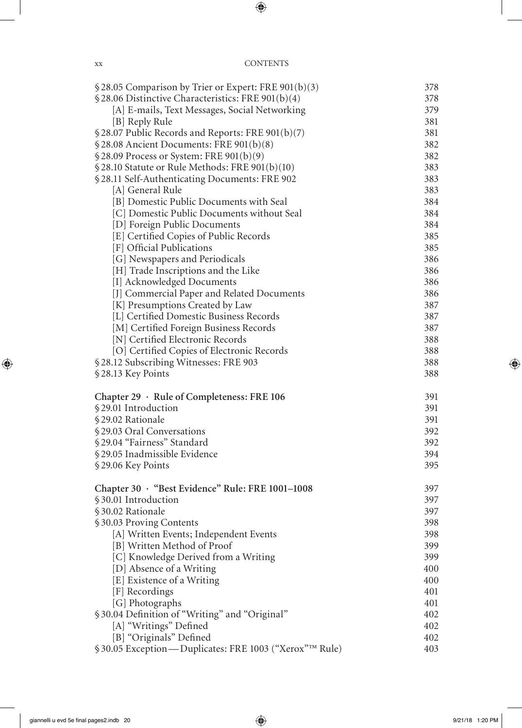| $$28.05$ Comparison by Trier or Expert: FRE 901(b)(3)                         | 378        |
|-------------------------------------------------------------------------------|------------|
| § 28.06 Distinctive Characteristics: FRE 901(b)(4)                            | 378        |
| [A] E-mails, Text Messages, Social Networking                                 | 379        |
| [B] Reply Rule                                                                | 381        |
| § 28.07 Public Records and Reports: FRE 901(b)(7)                             | 381        |
| § 28.08 Ancient Documents: FRE 901(b)(8)                                      | 382        |
| $$28.09$ Process or System: FRE 901(b)(9)                                     | 382        |
| § 28.10 Statute or Rule Methods: FRE 901(b)(10)                               | 383        |
| §28.11 Self-Authenticating Documents: FRE 902                                 | 383        |
| [A] General Rule                                                              | 383        |
| [B] Domestic Public Documents with Seal                                       | 384        |
| [C] Domestic Public Documents without Seal                                    | 384        |
| [D] Foreign Public Documents                                                  | 384        |
| [E] Certified Copies of Public Records                                        | 385        |
| [F] Official Publications                                                     | 385        |
| [G] Newspapers and Periodicals                                                | 386        |
| [H] Trade Inscriptions and the Like                                           | 386        |
| [I] Acknowledged Documents                                                    | 386        |
| [J] Commercial Paper and Related Documents<br>[K] Presumptions Created by Law | 386<br>387 |
| [L] Certified Domestic Business Records                                       | 387        |
| [M] Certified Foreign Business Records                                        | 387        |
| [N] Certified Electronic Records                                              | 388        |
| [O] Certified Copies of Electronic Records                                    | 388        |
| §28.12 Subscribing Witnesses: FRE 903                                         | 388        |
| §28.13 Key Points                                                             | 388        |
| Chapter 29 · Rule of Completeness: FRE 106                                    | 391        |
| §29.01 Introduction                                                           | 391        |
| §29.02 Rationale                                                              | 391        |
| §29.03 Oral Conversations                                                     | 392        |
| §29.04 "Fairness" Standard                                                    | 392        |
| §29.05 Inadmissible Evidence                                                  | 394        |
| §29.06 Key Points                                                             | 395        |
| Chapter 30 · "Best Evidence" Rule: FRE 1001-1008                              | 397        |
| §30.01 Introduction                                                           | 397        |
| §30.02 Rationale                                                              | 397        |
| §30.03 Proving Contents                                                       | 398        |
| [A] Written Events; Independent Events                                        | 398        |
| [B] Written Method of Proof                                                   | 399        |
| [C] Knowledge Derived from a Writing                                          | 399        |
| [D] Absence of a Writing                                                      | 400        |
| [E] Existence of a Writing                                                    | 400        |
| [F] Recordings                                                                | 401        |
| [G] Photographs                                                               | 401        |
| §30.04 Definition of "Writing" and "Original"                                 | 402        |
| [A] "Writings" Defined<br>[B] "Originals" Defined                             | 402        |
| §30.05 Exception - Duplicates: FRE 1003 ("Xerox"™ Rule)                       | 402<br>403 |
|                                                                               |            |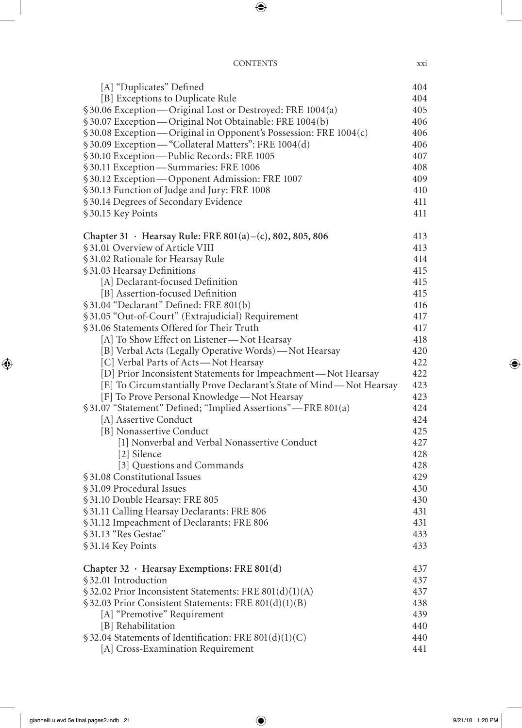#### CONTENTS xxi

| [A] "Duplicates" Defined                                                            | 404 |
|-------------------------------------------------------------------------------------|-----|
| [B] Exceptions to Duplicate Rule                                                    | 404 |
| §30.06 Exception—Original Lost or Destroyed: FRE 1004(a)                            | 405 |
| §30.07 Exception — Original Not Obtainable: FRE 1004(b)                             | 406 |
| § 30.08 Exception—Original in Opponent's Possession: FRE 1004(c)                    | 406 |
| §30.09 Exception—"Collateral Matters": FRE 1004(d)                                  | 406 |
|                                                                                     | 407 |
| § 30.10 Exception—Public Records: FRE 1005<br>§ 30.11 Exception—Summaries: FRE 1006 | 408 |
| §30.12 Exception-Opponent Admission: FRE 1007                                       | 409 |
| §30.13 Function of Judge and Jury: FRE 1008                                         | 410 |
| §30.14 Degrees of Secondary Evidence                                                | 411 |
| §30.15 Key Points                                                                   | 411 |
| Chapter 31 · Hearsay Rule: FRE 801(a) – (c), 802, 805, 806                          | 413 |
| §31.01 Overview of Article VIII                                                     | 413 |
| §31.02 Rationale for Hearsay Rule                                                   | 414 |
| §31.03 Hearsay Definitions                                                          | 415 |
| [A] Declarant-focused Definition                                                    | 415 |
| [B] Assertion-focused Definition                                                    | 415 |
| § 31.04 "Declarant" Defined: FRE 801(b)                                             | 416 |
| §31.05 "Out-of-Court" (Extrajudicial) Requirement                                   | 417 |
| §31.06 Statements Offered for Their Truth                                           | 417 |
| [A] To Show Effect on Listener-Not Hearsay                                          | 418 |
| [B] Verbal Acts (Legally Operative Words) - Not Hearsay                             | 420 |
| [C] Verbal Parts of Acts-Not Hearsay                                                | 422 |
| [D] Prior Inconsistent Statements for Impeachment—Not Hearsay                       | 422 |
| [E] To Circumstantially Prove Declarant's State of Mind-Not Hearsay                 | 423 |
| [F] To Prove Personal Knowledge-Not Hearsay                                         | 423 |
| §31.07 "Statement" Defined; "Implied Assertions" - FRE 801(a)                       | 424 |
| [A] Assertive Conduct                                                               | 424 |
| [B] Nonassertive Conduct                                                            | 425 |
| [1] Nonverbal and Verbal Nonassertive Conduct                                       | 427 |
| [2] Silence                                                                         | 428 |
| [3] Questions and Commands                                                          | 428 |
| §31.08 Constitutional Issues                                                        | 429 |
| §31.09 Procedural Issues                                                            | 430 |
| §31.10 Double Hearsay: FRE 805                                                      | 430 |
| §31.11 Calling Hearsay Declarants: FRE 806                                          | 431 |
| §31.12 Impeachment of Declarants: FRE 806                                           | 431 |
| §31.13 "Res Gestae"                                                                 | 433 |
| §31.14 Key Points                                                                   | 433 |
| Chapter 32 $\cdot$ Hearsay Exemptions: FRE 801(d)                                   | 437 |
| §32.01 Introduction                                                                 | 437 |
| §32.02 Prior Inconsistent Statements: FRE 801(d)(1)(A)                              | 437 |
| § 32.03 Prior Consistent Statements: FRE 801(d)(1)(B)                               | 438 |
| [A] "Premotive" Requirement                                                         | 439 |
| [B] Rehabilitation                                                                  | 440 |
| $$32.04$ Statements of Identification: FRE 801(d)(1)(C)                             | 440 |
| [A] Cross-Examination Requirement                                                   | 441 |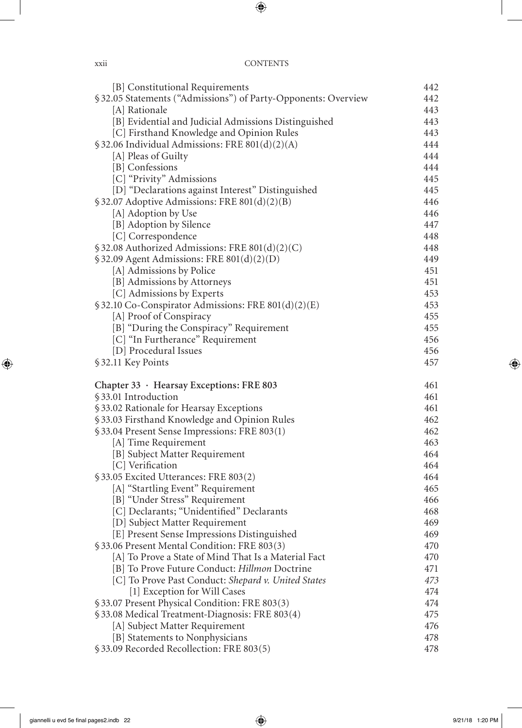| [B] Constitutional Requirements                                             | 442        |
|-----------------------------------------------------------------------------|------------|
| §32.05 Statements ("Admissions") of Party-Opponents: Overview               | 442        |
| [A] Rationale                                                               | 443        |
| [B] Evidential and Judicial Admissions Distinguished                        | 443        |
| [C] Firsthand Knowledge and Opinion Rules                                   | 443        |
| $$32.06$ Individual Admissions: FRE 801(d)(2)(A)                            | 444        |
| [A] Pleas of Guilty                                                         | 444        |
| [B] Confessions                                                             | 444        |
| [C] "Privity" Admissions                                                    | 445        |
| [D] "Declarations against Interest" Distinguished                           | 445        |
| §32.07 Adoptive Admissions: FRE 801(d)(2)(B)                                | 446        |
| [A] Adoption by Use                                                         | 446        |
| [B] Adoption by Silence                                                     | 447        |
| [C] Correspondence                                                          | 448        |
| §32.08 Authorized Admissions: FRE 801(d)(2)(C)                              | 448        |
| $$32.09$ Agent Admissions: FRE 801(d)(2)(D)                                 | 449        |
| [A] Admissions by Police                                                    | 451        |
| [B] Admissions by Attorneys                                                 | 451        |
| [C] Admissions by Experts                                                   | 453        |
| § 32.10 Co-Conspirator Admissions: FRE 801(d)(2)(E)                         | 453        |
| [A] Proof of Conspiracy                                                     | 455        |
| [B] "During the Conspiracy" Requirement                                     | 455        |
| [C] "In Furtherance" Requirement                                            | 456        |
| [D] Procedural Issues                                                       | 456        |
| §32.11 Key Points                                                           | 457        |
|                                                                             |            |
| Chapter 33 · Hearsay Exceptions: FRE 803                                    | 461        |
| §33.01 Introduction                                                         | 461        |
| §33.02 Rationale for Hearsay Exceptions                                     | 461        |
| §33.03 Firsthand Knowledge and Opinion Rules                                | 462        |
| §33.04 Present Sense Impressions: FRE 803(1)                                | 462        |
| [A] Time Requirement                                                        | 463        |
|                                                                             | 464        |
| [B] Subject Matter Requirement                                              | 464        |
| [C] Verification                                                            |            |
| §33.05 Excited Utterances: FRE 803(2)                                       | 464        |
| [A] "Startling Event" Requirement                                           | 465        |
| [B] "Under Stress" Requirement                                              | 466        |
| [C] Declarants; "Unidentified" Declarants                                   | 468        |
| [D] Subject Matter Requirement                                              | 469        |
| [E] Present Sense Impressions Distinguished                                 | 469        |
| § 33.06 Present Mental Condition: FRE 803(3)                                | 470        |
| [A] To Prove a State of Mind That Is a Material Fact                        | 470        |
| [B] To Prove Future Conduct: Hillmon Doctrine                               | 471        |
| [C] To Prove Past Conduct: Shepard v. United States                         | 473        |
| [1] Exception for Will Cases                                                | 474        |
| § 33.07 Present Physical Condition: FRE 803(3)                              | 474        |
| §33.08 Medical Treatment-Diagnosis: FRE 803(4)                              | 475        |
| [A] Subject Matter Requirement                                              | 476        |
| [B] Statements to Nonphysicians<br>§33.09 Recorded Recollection: FRE 803(5) | 478<br>478 |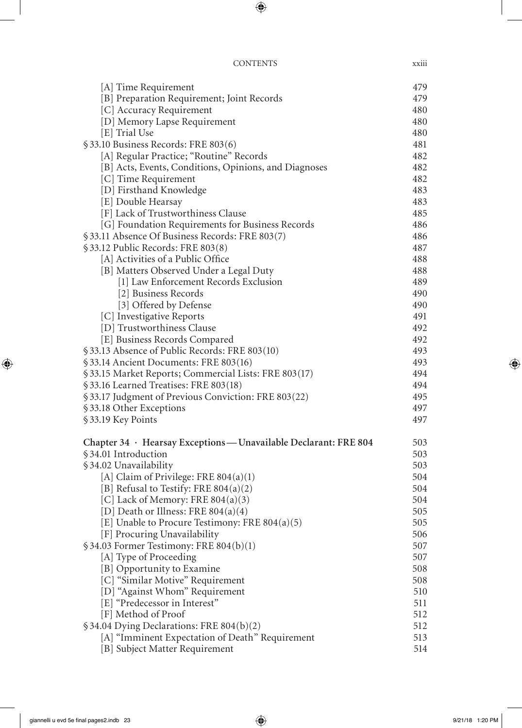| <b>CONTENTS</b> | <b>XX111</b> |
|-----------------|--------------|
|                 |              |

| [A] Time Requirement                                             | 479 |
|------------------------------------------------------------------|-----|
| [B] Preparation Requirement; Joint Records                       | 479 |
| [C] Accuracy Requirement                                         | 480 |
| [D] Memory Lapse Requirement                                     | 480 |
| [E] Trial Use                                                    | 480 |
| §33.10 Business Records: FRE 803(6)                              | 481 |
| [A] Regular Practice; "Routine" Records                          | 482 |
| [B] Acts, Events, Conditions, Opinions, and Diagnoses            | 482 |
| [C] Time Requirement                                             | 482 |
| [D] Firsthand Knowledge                                          | 483 |
| [E] Double Hearsay                                               | 483 |
| [F] Lack of Trustworthiness Clause                               | 485 |
| [G] Foundation Requirements for Business Records                 | 486 |
| §33.11 Absence Of Business Records: FRE 803(7)                   | 486 |
| §33.12 Public Records: FRE 803(8)                                | 487 |
| [A] Activities of a Public Office                                | 488 |
| [B] Matters Observed Under a Legal Duty                          | 488 |
| [1] Law Enforcement Records Exclusion                            | 489 |
| [2] Business Records                                             | 490 |
| [3] Offered by Defense                                           | 490 |
| [C] Investigative Reports                                        | 491 |
| [D] Trustworthiness Clause                                       | 492 |
| [E] Business Records Compared                                    | 492 |
| §33.13 Absence of Public Records: FRE 803(10)                    | 493 |
| §33.14 Ancient Documents: FRE 803(16)                            | 493 |
| §33.15 Market Reports; Commercial Lists: FRE 803(17)             | 494 |
| §33.16 Learned Treatises: FRE 803(18)                            | 494 |
| §33.17 Judgment of Previous Conviction: FRE 803(22)              | 495 |
| §33.18 Other Exceptions                                          | 497 |
| §33.19 Key Points                                                | 497 |
| Chapter 34 · Hearsay Exceptions — Unavailable Declarant: FRE 804 | 503 |
| §34.01 Introduction                                              | 503 |
| §34.02 Unavailability                                            | 503 |
| [A] Claim of Privilege: FRE $804(a)(1)$                          | 504 |
| [B] Refusal to Testify: FRE $804(a)(2)$                          | 504 |
| [C] Lack of Memory: FRE $804(a)(3)$                              | 504 |
| [D] Death or Illness: FRE $804(a)(4)$                            | 505 |
| [E] Unable to Procure Testimony: FRE $804(a)(5)$                 | 505 |
| [F] Procuring Unavailability                                     | 506 |
| $$34.03$ Former Testimony: FRE $804(b)(1)$                       | 507 |
| [A] Type of Proceeding                                           | 507 |
| [B] Opportunity to Examine                                       | 508 |
| [C] "Similar Motive" Requirement                                 | 508 |
| [D] "Against Whom" Requirement                                   | 510 |
| [E] "Predecessor in Interest"                                    | 511 |
| [F] Method of Proof                                              | 512 |
| §34.04 Dying Declarations: FRE 804(b)(2)                         | 512 |
| [A] "Imminent Expectation of Death" Requirement                  | 513 |
| [B] Subject Matter Requirement                                   | 514 |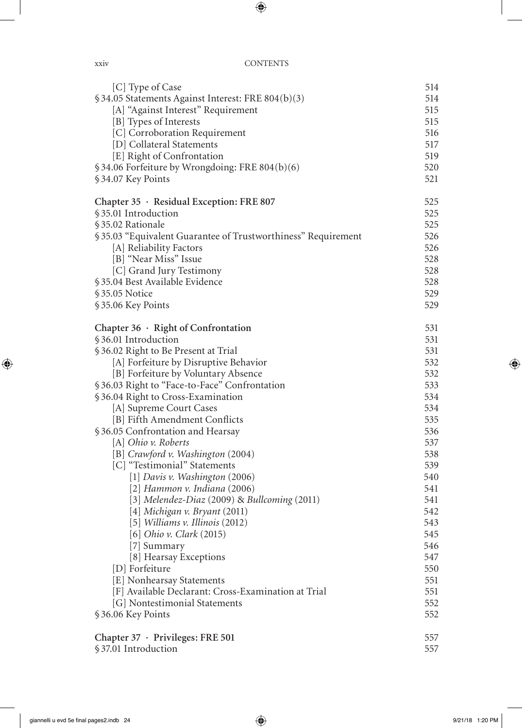| [C] Type of Case                                             | 514 |
|--------------------------------------------------------------|-----|
| §34.05 Statements Against Interest: FRE 804(b)(3)            | 514 |
| [A] "Against Interest" Requirement                           | 515 |
| [B] Types of Interests                                       | 515 |
| [C] Corroboration Requirement                                | 516 |
| [D] Collateral Statements                                    | 517 |
| [E] Right of Confrontation                                   | 519 |
| §34.06 Forfeiture by Wrongdoing: FRE 804(b)(6)               | 520 |
| §34.07 Key Points                                            | 521 |
| Chapter 35 · Residual Exception: FRE 807                     | 525 |
| §35.01 Introduction                                          | 525 |
| §35.02 Rationale                                             | 525 |
| §35.03 "Equivalent Guarantee of Trustworthiness" Requirement | 526 |
| [A] Reliability Factors                                      | 526 |
| [B] "Near Miss" Issue                                        | 528 |
| [C] Grand Jury Testimony                                     | 528 |
| § 35.04 Best Available Evidence                              | 528 |
| §35.05 Notice                                                | 529 |
| §35.06 Key Points                                            | 529 |
| Chapter $36 \cdot$ Right of Confrontation                    | 531 |
| §36.01 Introduction                                          | 531 |
| §36.02 Right to Be Present at Trial                          | 531 |
| [A] Forfeiture by Disruptive Behavior                        | 532 |
| [B] Forfeiture by Voluntary Absence                          | 532 |
| §36.03 Right to "Face-to-Face" Confrontation                 | 533 |
| §36.04 Right to Cross-Examination                            | 534 |
| [A] Supreme Court Cases                                      | 534 |
| [B] Fifth Amendment Conflicts                                | 535 |
| §36.05 Confrontation and Hearsay                             | 536 |
| [A] Ohio v. Roberts                                          | 537 |
| [B] Crawford v. Washington (2004)                            | 538 |
| [C] "Testimonial" Statements                                 | 539 |
| [1] Davis v. Washington (2006)                               | 540 |
| [2] Hammon v. Indiana $(2006)$                               | 541 |
| [3] Melendez-Diaz (2009) & Bullcoming (2011)                 | 541 |
| $[4]$ Michigan v. Bryant $(2011)$                            | 542 |
| [5] Williams v. Illinois (2012)                              | 543 |
| [6] Ohio v. Clark (2015)                                     | 545 |
| [7] Summary                                                  | 546 |
| [8] Hearsay Exceptions                                       | 547 |
| [D] Forfeiture                                               | 550 |
| [E] Nonhearsay Statements                                    | 551 |
| [F] Available Declarant: Cross-Examination at Trial          | 551 |
| [G] Nontestimonial Statements                                | 552 |
| §36.06 Key Points                                            | 552 |
| Chapter 37 · Privileges: FRE 501                             | 557 |
| §37.01 Introduction                                          | 557 |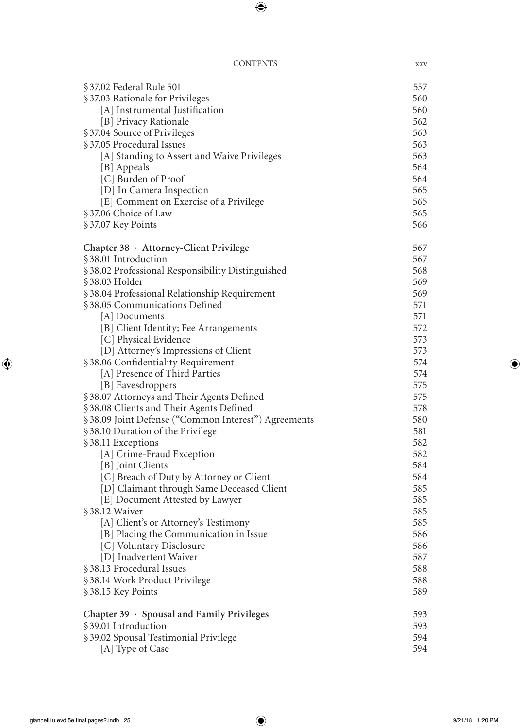| §37.02 Federal Rule 501                             | 557 |
|-----------------------------------------------------|-----|
| §37.03 Rationale for Privileges                     | 560 |
| [A] Instrumental Justification                      | 560 |
| [B] Privacy Rationale                               | 562 |
| §37.04 Source of Privileges                         | 563 |
| §37.05 Procedural Issues                            | 563 |
| [A] Standing to Assert and Waive Privileges         | 563 |
| [B] Appeals                                         | 564 |
| [C] Burden of Proof                                 | 564 |
| [D] In Camera Inspection                            | 565 |
| [E] Comment on Exercise of a Privilege              | 565 |
| §37.06 Choice of Law                                | 565 |
| §37.07 Key Points                                   | 566 |
| Chapter 38 · Attorney-Client Privilege              | 567 |
| §38.01 Introduction                                 | 567 |
| §38.02 Professional Responsibility Distinguished    | 568 |
| §38.03 Holder                                       | 569 |
| §38.04 Professional Relationship Requirement        | 569 |
| §38.05 Communications Defined                       | 571 |
| [A] Documents                                       | 571 |
| [B] Client Identity; Fee Arrangements               | 572 |
| [C] Physical Evidence                               | 573 |
| [D] Attorney's Impressions of Client                | 573 |
| §38.06 Confidentiality Requirement                  | 574 |
| [A] Presence of Third Parties                       | 574 |
| [B] Eavesdroppers                                   | 575 |
| §38.07 Attorneys and Their Agents Defined           | 575 |
| §38.08 Clients and Their Agents Defined             | 578 |
| §38.09 Joint Defense ("Common Interest") Agreements | 580 |
| §38.10 Duration of the Privilege                    | 581 |
| §38.11 Exceptions                                   | 582 |
| [A] Crime-Fraud Exception                           | 582 |
| [B] Joint Clients                                   | 584 |
| [C] Breach of Duty by Attorney or Client            | 584 |
| [D] Claimant through Same Deceased Client           | 585 |
| [E] Document Attested by Lawyer                     | 585 |
| §38.12 Waiver                                       | 585 |
| [A] Client's or Attorney's Testimony                | 585 |
| [B] Placing the Communication in Issue              | 586 |
| [C] Voluntary Disclosure                            | 586 |
| [D] Inadvertent Waiver                              | 587 |
| §38.13 Procedural Issues                            | 588 |
| §38.14 Work Product Privilege                       | 588 |
| §38.15 Key Points                                   | 589 |
| Chapter 39 · Spousal and Family Privileges          | 593 |
| §39.01 Introduction                                 | 593 |
| § 39.02 Spousal Testimonial Privilege               | 594 |
| [A] Type of Case                                    | 594 |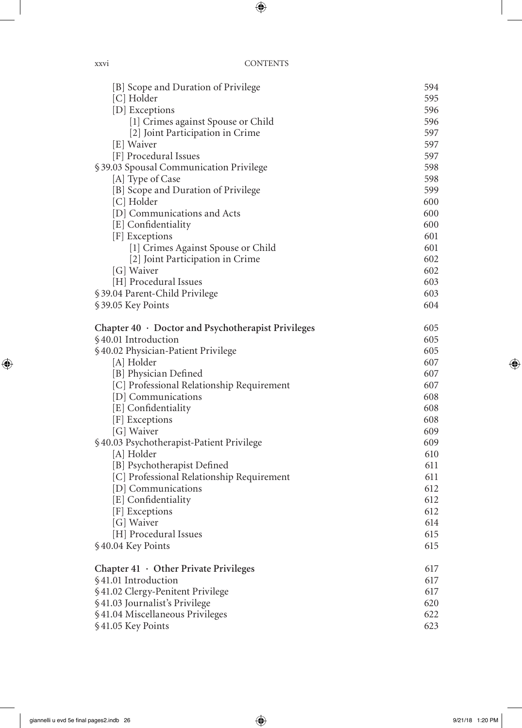| [B] Scope and Duration of Privilege                | 594        |
|----------------------------------------------------|------------|
| [C] Holder                                         | 595        |
| [D] Exceptions                                     | 596        |
| [1] Crimes against Spouse or Child                 | 596        |
| [2] Joint Participation in Crime                   | 597        |
| [E] Waiver                                         | 597        |
| [F] Procedural Issues                              | 597        |
| §39.03 Spousal Communication Privilege             | 598        |
| [A] Type of Case                                   | 598        |
| [B] Scope and Duration of Privilege                | 599        |
| [C] Holder                                         | 600        |
| [D] Communications and Acts                        | 600        |
| [E] Confidentiality                                | 600        |
| [F] Exceptions                                     | 601<br>601 |
| [1] Crimes Against Spouse or Child                 | 602        |
| [2] Joint Participation in Crime<br>[G] Waiver     | 602        |
| [H] Procedural Issues                              | 603        |
| § 39.04 Parent-Child Privilege                     | 603        |
| §39.05 Key Points                                  | 604        |
|                                                    |            |
| Chapter 40 · Doctor and Psychotherapist Privileges | 605        |
| §40.01 Introduction                                | 605        |
| §40.02 Physician-Patient Privilege                 | 605        |
| [A] Holder                                         | 607        |
| [B] Physician Defined                              | 607        |
| [C] Professional Relationship Requirement          | 607        |
| [D] Communications                                 | 608        |
| [E] Confidentiality                                | 608        |
| [F] Exceptions                                     | 608        |
| [G] Waiver                                         | 609        |
| §40.03 Psychotherapist-Patient Privilege           | 609        |
| [A] Holder                                         | 610        |
| [B] Psychotherapist Defined                        | 611        |
| [C] Professional Relationship Requirement          | 611        |
| [D] Communications                                 | 612        |
| [E] Confidentiality                                | 612        |
| [F] Exceptions                                     | 612        |
| [G] Waiver                                         | 614        |
| [H] Procedural Issues                              | 615        |
| §40.04 Key Points                                  | 615        |
| Chapter $41 \cdot$ Other Private Privileges        | 617        |
| §41.01 Introduction                                | 617        |
| §41.02 Clergy-Penitent Privilege                   | 617        |
| §41.03 Journalist's Privilege                      | 620        |
| §41.04 Miscellaneous Privileges                    | 622        |
| §41.05 Key Points                                  | 623        |
|                                                    |            |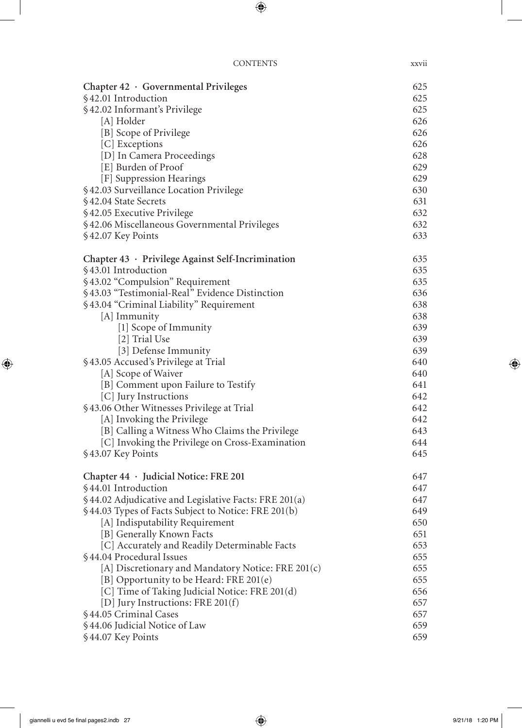| Chapter $42 \cdot$ Governmental Privileges                           | 625        |
|----------------------------------------------------------------------|------------|
| §42.01 Introduction                                                  | 625        |
| §42.02 Informant's Privilege                                         | 625        |
| [A] Holder                                                           | 626        |
| [B] Scope of Privilege                                               | 626        |
| [C] Exceptions                                                       | 626        |
| [D] In Camera Proceedings                                            | 628        |
| [E] Burden of Proof                                                  | 629        |
| [F] Suppression Hearings                                             | 629        |
| §42.03 Surveillance Location Privilege                               | 630        |
| §42.04 State Secrets                                                 | 631        |
| §42.05 Executive Privilege                                           | 632        |
| §42.06 Miscellaneous Governmental Privileges                         | 632        |
| §42.07 Key Points                                                    | 633        |
| Chapter 43 · Privilege Against Self-Incrimination                    | 635        |
| §43.01 Introduction                                                  | 635        |
| §43.02 "Compulsion" Requirement                                      | 635        |
| §43.03 "Testimonial-Real" Evidence Distinction                       | 636        |
| §43.04 "Criminal Liability" Requirement                              | 638        |
| [A] Immunity                                                         | 638        |
| [1] Scope of Immunity                                                | 639        |
| [2] Trial Use                                                        | 639        |
| [3] Defense Immunity                                                 | 639        |
| §43.05 Accused's Privilege at Trial                                  | 640        |
| [A] Scope of Waiver                                                  | 640        |
| [B] Comment upon Failure to Testify                                  | 641        |
| [C] Jury Instructions                                                | 642        |
| §43.06 Other Witnesses Privilege at Trial                            | 642        |
| [A] Invoking the Privilege                                           | 642<br>643 |
| [B] Calling a Witness Who Claims the Privilege                       |            |
| [C] Invoking the Privilege on Cross-Examination<br>§43.07 Key Points | 644<br>645 |
|                                                                      |            |
| Chapter 44 · Judicial Notice: FRE 201                                | 647        |
| §44.01 Introduction                                                  | 647        |
| §44.02 Adjudicative and Legislative Facts: FRE 201(a)                | 647        |
| §44.03 Types of Facts Subject to Notice: FRE 201(b)                  | 649        |
| [A] Indisputability Requirement                                      | 650        |
| [B] Generally Known Facts                                            | 651        |
| [C] Accurately and Readily Determinable Facts                        | 653        |
| §44.04 Procedural Issues                                             | 655        |
| [A] Discretionary and Mandatory Notice: FRE 201(c)                   | 655        |
| [B] Opportunity to be Heard: FRE 201(e)                              | 655        |
| [C] Time of Taking Judicial Notice: FRE 201(d)                       | 656        |
| [D] Jury Instructions: FRE 201(f)<br>§44.05 Criminal Cases           | 657<br>657 |
| §44.06 Judicial Notice of Law                                        | 659        |
| §44.07 Key Points                                                    | 659        |
|                                                                      |            |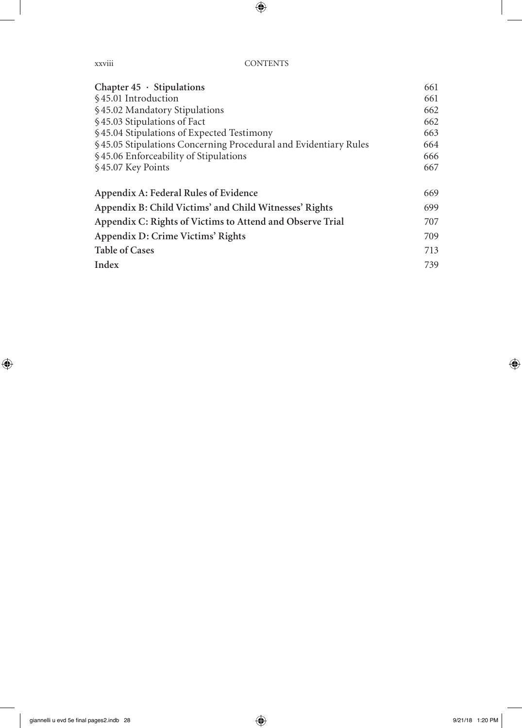xxviii CONTENTS

| Chapter $45 \cdot$ Stipulations                                 | 661 |
|-----------------------------------------------------------------|-----|
| §45.01 Introduction                                             | 661 |
| §45.02 Mandatory Stipulations                                   | 662 |
| §45.03 Stipulations of Fact                                     | 662 |
| §45.04 Stipulations of Expected Testimony                       | 663 |
| §45.05 Stipulations Concerning Procedural and Evidentiary Rules | 664 |
| §45.06 Enforceability of Stipulations                           | 666 |
| §45.07 Key Points                                               | 667 |
| Appendix A: Federal Rules of Evidence                           | 669 |
| Appendix B: Child Victims' and Child Witnesses' Rights          | 699 |
| Appendix C: Rights of Victims to Attend and Observe Trial       | 707 |
| Appendix D: Crime Victims' Rights                               | 709 |
| <b>Table of Cases</b>                                           | 713 |
| Index                                                           | 739 |
|                                                                 |     |